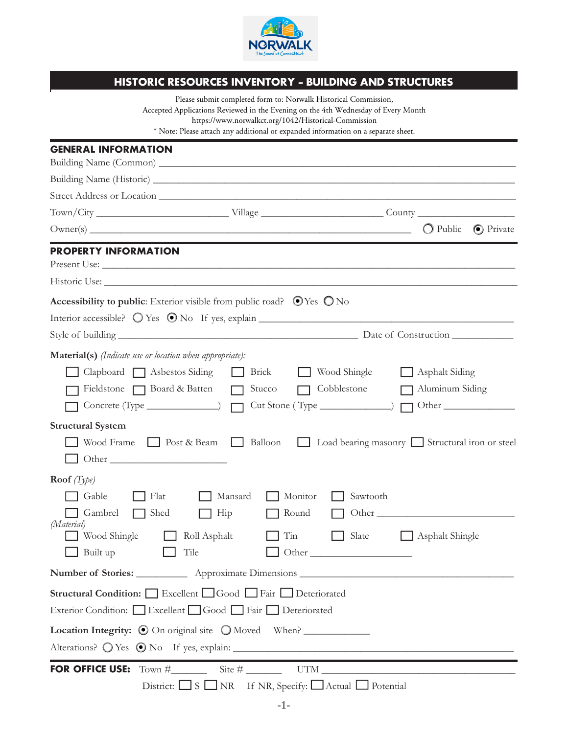

## **HISTORIC RESOURCES INVENTORY - BUILDING AND STRUCTURES**

|                                                                 | Please submit completed form to: Norwalk Historical Commission,<br>Accepted Applications Reviewed in the Evening on the 4th Wednesday of Every Month |                                                  |
|-----------------------------------------------------------------|------------------------------------------------------------------------------------------------------------------------------------------------------|--------------------------------------------------|
|                                                                 | https://www.norwalkct.org/1042/Historical-Commission                                                                                                 |                                                  |
|                                                                 | * Note: Please attach any additional or expanded information on a separate sheet.                                                                    |                                                  |
| <b>GENERAL INFORMATION</b>                                      |                                                                                                                                                      |                                                  |
|                                                                 |                                                                                                                                                      |                                                  |
|                                                                 |                                                                                                                                                      |                                                  |
|                                                                 |                                                                                                                                                      |                                                  |
|                                                                 |                                                                                                                                                      | $\bigcirc$ Public<br><b>O</b> Private            |
| PROPERTY INFORMATION                                            |                                                                                                                                                      |                                                  |
|                                                                 |                                                                                                                                                      |                                                  |
|                                                                 |                                                                                                                                                      |                                                  |
|                                                                 | Accessibility to public: Exterior visible from public road? $\bigcirc$ Yes $\bigcirc$ No                                                             |                                                  |
|                                                                 |                                                                                                                                                      |                                                  |
|                                                                 |                                                                                                                                                      |                                                  |
| <b>Material(s)</b> (Indicate use or location when appropriate): |                                                                                                                                                      |                                                  |
| $Clapboard \fbox{ Asbestos Siding}$                             | Brick                                                                                                                                                | Wood Shingle<br>Asphalt Siding                   |
| Fieldstone $\Box$ Board & Batten                                | Stucco                                                                                                                                               | Cobblestone<br>Aluminum Siding                   |
| Concrete (Type $\qquad \qquad$ )                                | $Cut Stone (Type ________)$                                                                                                                          | Other                                            |
| <b>Structural System</b>                                        |                                                                                                                                                      |                                                  |
| Post & Beam<br>Wood Frame                                       | Balloon                                                                                                                                              | Load bearing masonry Structural iron or steel    |
|                                                                 |                                                                                                                                                      |                                                  |
| <b>Roof</b> $(Type)$                                            |                                                                                                                                                      |                                                  |
| Gable<br>  $Flat$                                               | Mansard<br>Monitor                                                                                                                                   | Sawtooth                                         |
| Gambrel Shed Hip                                                |                                                                                                                                                      | $\Box$ Round $\Box$ Other                        |
| (Material)<br>Wood Shingle                                      | Roll Asphalt<br>$\Box$ Tin                                                                                                                           | $\Box$ Slate<br>Asphalt Shingle                  |
| Built up                                                        | Tile                                                                                                                                                 | $\bigcup$ Other                                  |
|                                                                 |                                                                                                                                                      | Number of Stories: <u>Approximate Dimensions</u> |
|                                                                 | <b>Structural Condition:</b> Excellent Good Fair Deteriorated                                                                                        |                                                  |
|                                                                 | Exterior Condition: Excellent Good Fair Deteriorated                                                                                                 |                                                  |
|                                                                 | <b>Location Integrity:</b> $\odot$ On original site $\bigcirc$ Moved When?                                                                           |                                                  |
|                                                                 |                                                                                                                                                      |                                                  |
|                                                                 |                                                                                                                                                      |                                                  |
|                                                                 | District: $\Box$ S $\Box$ NR If NR, Specify: $\Box$ Actual $\Box$ Potential                                                                          |                                                  |